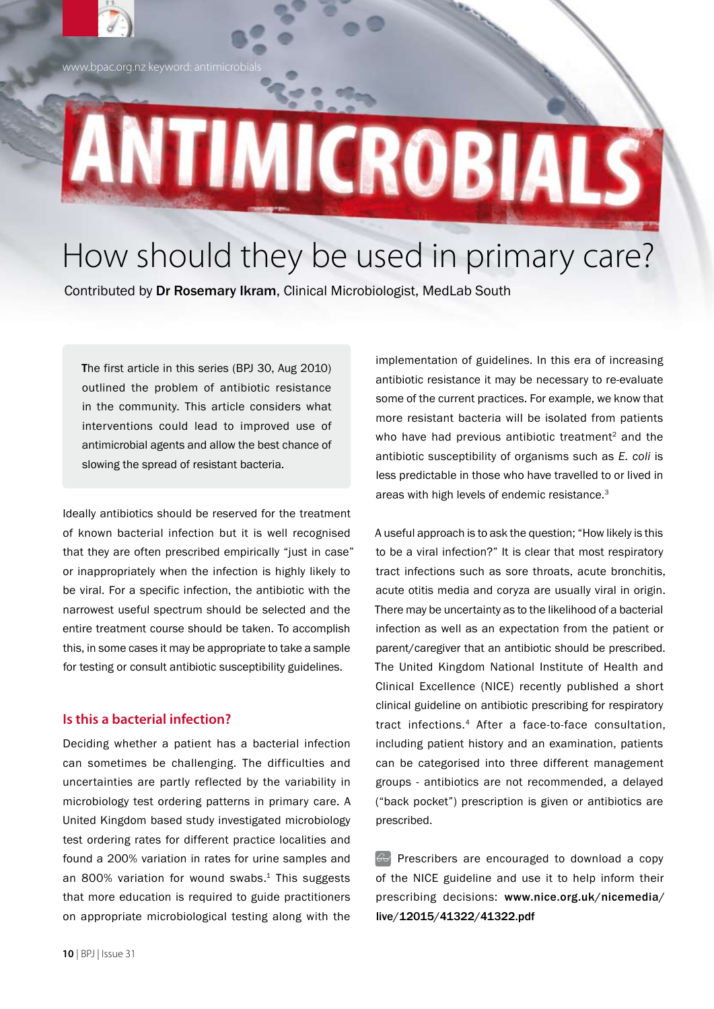ww.bpac.org.nz keyword: antimicrobi

# ANTIMICROBIA

# How should they be used in primary care?

Contributed by Dr Rosemary Ikram, Clinical Microbiologist, MedLab South

The first article in this series (BPJ 30, Aug 2010) outlined the problem of antibiotic resistance in the community. This article considers what interventions could lead to improved use of antimicrobial agents and allow the best chance of slowing the spread of resistant bacteria.

Ideally antibiotics should be reserved for the treatment of known bacterial infection but it is well recognised that they are often prescribed empirically "just in case" or inappropriately when the infection is highly likely to be viral. For a specific infection, the antibiotic with the narrowest useful spectrum should be selected and the entire treatment course should be taken. To accomplish this, in some cases it may be appropriate to take a sample for testing or consult antibiotic susceptibility guidelines.

#### **Is this a bacterial infection?**

Deciding whether a patient has a bacterial infection can sometimes be challenging. The difficulties and uncertainties are partly reflected by the variability in microbiology test ordering patterns in primary care. A United Kingdom based study investigated microbiology test ordering rates for different practice localities and found a 200% variation in rates for urine samples and an 800% variation for wound swabs.<sup>1</sup> This suggests that more education is required to guide practitioners on appropriate microbiological testing along with the

implementation of guidelines. In this era of increasing antibiotic resistance it may be necessary to re-evaluate some of the current practices. For example, we know that more resistant bacteria will be isolated from patients who have had previous antibiotic treatment<sup>2</sup> and the antibiotic susceptibility of organisms such as *E. coli* is less predictable in those who have travelled to or lived in areas with high levels of endemic resistance.<sup>3</sup>

A useful approach is to ask the question; "How likely is this to be a viral infection?" It is clear that most respiratory tract infections such as sore throats, acute bronchitis, acute otitis media and coryza are usually viral in origin. There may be uncertainty as to the likelihood of a bacterial infection as well as an expectation from the patient or parent/caregiver that an antibiotic should be prescribed. The United Kingdom National Institute of Health and Clinical Excellence (NICE) recently published a short clinical guideline on antibiotic prescribing for respiratory tract infections.4 After a face-to-face consultation, including patient history and an examination, patients can be categorised into three different management groups - antibiotics are not recommended, a delayed ("back pocket") prescription is given or antibiotics are prescribed.

Prescribers are encouraged to download a copy of the NICE guideline and use it to help inform their prescribing decisions: www.nice.org.uk/nicemedia/ live/12015/41322/41322.pdf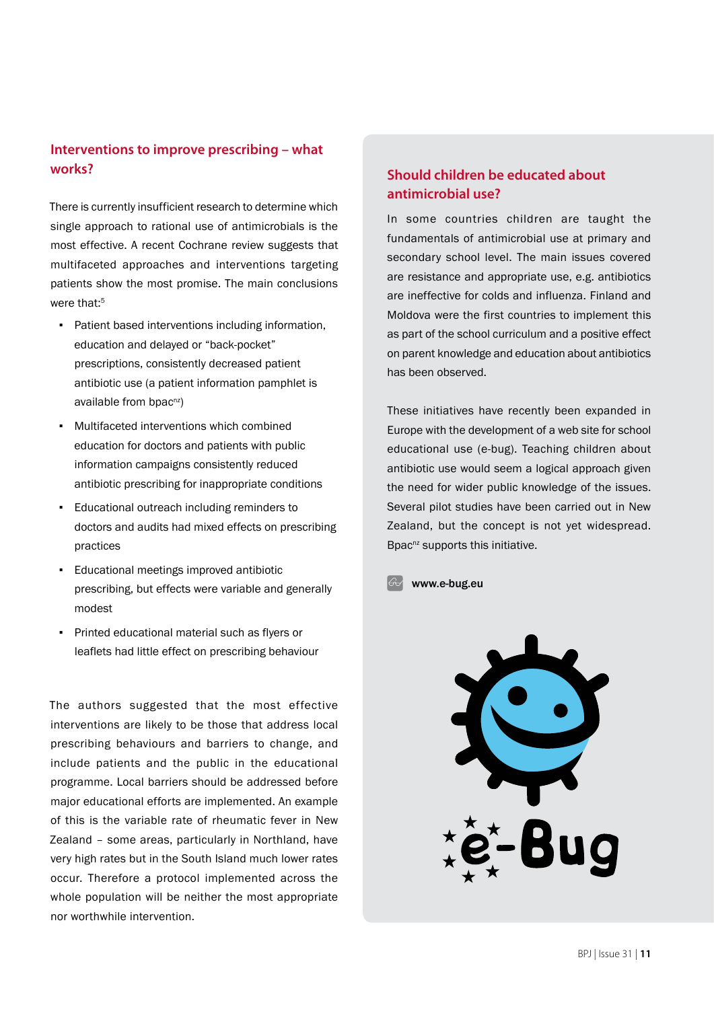### **Interventions to improve prescribing – what works?**

There is currently insufficient research to determine which single approach to rational use of antimicrobials is the most effective. A recent Cochrane review suggests that multifaceted approaches and interventions targeting patients show the most promise. The main conclusions were that:<sup>5</sup>

- Patient based interventions including information, education and delayed or "back-pocket" prescriptions, consistently decreased patient antibiotic use (a patient information pamphlet is available from bpac<sup>nz</sup>)
- Multifaceted interventions which combined education for doctors and patients with public information campaigns consistently reduced antibiotic prescribing for inappropriate conditions
- Educational outreach including reminders to doctors and audits had mixed effects on prescribing practices
- Educational meetings improved antibiotic prescribing, but effects were variable and generally modest
- Printed educational material such as flyers or leaflets had little effect on prescribing behaviour

The authors suggested that the most effective interventions are likely to be those that address local prescribing behaviours and barriers to change, and include patients and the public in the educational programme. Local barriers should be addressed before major educational efforts are implemented. An example of this is the variable rate of rheumatic fever in New Zealand – some areas, particularly in Northland, have very high rates but in the South Island much lower rates occur. Therefore a protocol implemented across the whole population will be neither the most appropriate nor worthwhile intervention.

### **Should children be educated about antimicrobial use?**

In some countries children are taught the fundamentals of antimicrobial use at primary and secondary school level. The main issues covered are resistance and appropriate use, e.g. antibiotics are ineffective for colds and influenza. Finland and Moldova were the first countries to implement this as part of the school curriculum and a positive effect on parent knowledge and education about antibiotics has been observed.

These initiatives have recently been expanded in Europe with the development of a web site for school educational use (e-bug). Teaching children about antibiotic use would seem a logical approach given the need for wider public knowledge of the issues. Several pilot studies have been carried out in New Zealand, but the concept is not yet widespread. Bpac<sup>nz</sup> supports this initiative.

www.e-bug.eu

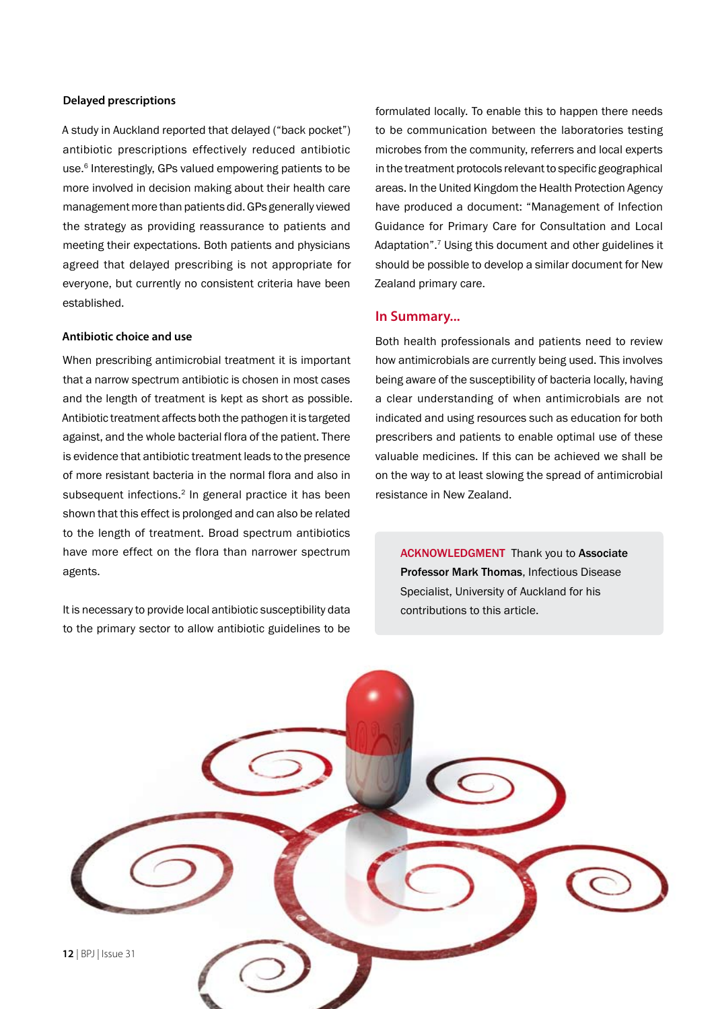#### **Delayed prescriptions**

A study in Auckland reported that delayed ("back pocket") antibiotic prescriptions effectively reduced antibiotic use.<sup>6</sup> Interestingly, GPs valued empowering patients to be more involved in decision making about their health care management more than patients did. GPs generally viewed the strategy as providing reassurance to patients and meeting their expectations. Both patients and physicians agreed that delayed prescribing is not appropriate for everyone, but currently no consistent criteria have been established.

#### **Antibiotic choice and use**

When prescribing antimicrobial treatment it is important that a narrow spectrum antibiotic is chosen in most cases and the length of treatment is kept as short as possible. Antibiotic treatment affects both the pathogen it is targeted against, and the whole bacterial flora of the patient. There is evidence that antibiotic treatment leads to the presence of more resistant bacteria in the normal flora and also in subsequent infections.<sup>2</sup> In general practice it has been shown that this effect is prolonged and can also be related to the length of treatment. Broad spectrum antibiotics have more effect on the flora than narrower spectrum agents.

It is necessary to provide local antibiotic susceptibility data to the primary sector to allow antibiotic guidelines to be

formulated locally. To enable this to happen there needs to be communication between the laboratories testing microbes from the community, referrers and local experts in the treatment protocols relevant to specific geographical areas. In the United Kingdom the Health Protection Agency have produced a document: "Management of Infection Guidance for Primary Care for Consultation and Local Adaptation".7 Using this document and other guidelines it should be possible to develop a similar document for New Zealand primary care.

#### **In Summary...**

Both health professionals and patients need to review how antimicrobials are currently being used. This involves being aware of the susceptibility of bacteria locally, having a clear understanding of when antimicrobials are not indicated and using resources such as education for both prescribers and patients to enable optimal use of these valuable medicines. If this can be achieved we shall be on the way to at least slowing the spread of antimicrobial resistance in New Zealand.

ACKNOWLEDGMENT Thank you to Associate Professor Mark Thomas, Infectious Disease Specialist, University of Auckland for his contributions to this article.